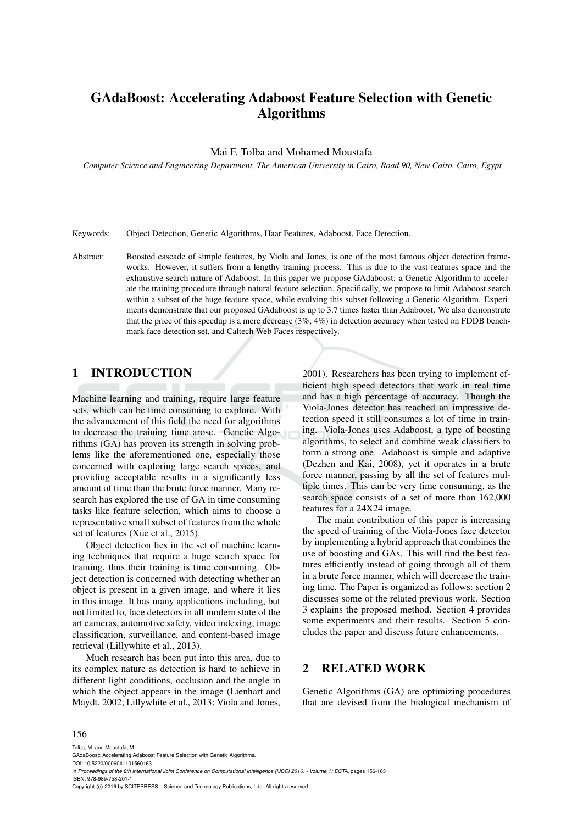# GAdaBoost: Accelerating Adaboost Feature Selection with Genetic Algorithms

#### Mai F. Tolba and Mohamed Moustafa

*Computer Science and Engineering Department, The American University in Cairo, Road 90, New Cairo, Cairo, Egypt*

Keywords: Object Detection, Genetic Algorithms, Haar Features, Adaboost, Face Detection.

Abstract: Boosted cascade of simple features, by Viola and Jones, is one of the most famous object detection frameworks. However, it suffers from a lengthy training process. This is due to the vast features space and the exhaustive search nature of Adaboost. In this paper we propose GAdaboost: a Genetic Algorithm to accelerate the training procedure through natural feature selection. Specifically, we propose to limit Adaboost search within a subset of the huge feature space, while evolving this subset following a Genetic Algorithm. Experiments demonstrate that our proposed GAdaboost is up to 3.7 times faster than Adaboost. We also demonstrate that the price of this speedup is a mere decrease (3%, 4%) in detection accuracy when tested on FDDB benchmark face detection set, and Caltech Web Faces respectively.

# 1 INTRODUCTION

Machine learning and training, require large feature sets, which can be time consuming to explore. With the advancement of this field the need for algorithms to decrease the training time arose. Genetic Algorithms (GA) has proven its strength in solving problems like the aforementioned one, especially those concerned with exploring large search spaces, and providing acceptable results in a significantly less amount of time than the brute force manner. Many research has explored the use of GA in time consuming tasks like feature selection, which aims to choose a representative small subset of features from the whole set of features (Xue et al., 2015).

Object detection lies in the set of machine learning techniques that require a huge search space for training, thus their training is time consuming. Object detection is concerned with detecting whether an object is present in a given image, and where it lies in this image. It has many applications including, but not limited to, face detectors in all modern state of the art cameras, automotive safety, video indexing, image classification, surveillance, and content-based image retrieval (Lillywhite et al., 2013).

Much research has been put into this area, due to its complex nature as detection is hard to achieve in different light conditions, occlusion and the angle in which the object appears in the image (Lienhart and Maydt, 2002; Lillywhite et al., 2013; Viola and Jones, 2001). Researchers has been trying to implement efficient high speed detectors that work in real time and has a high percentage of accuracy. Though the Viola-Jones detector has reached an impressive detection speed it still consumes a lot of time in training. Viola-Jones uses Adaboost, a type of boosting algorithms, to select and combine weak classifiers to form a strong one. Adaboost is simple and adaptive (Dezhen and Kai, 2008), yet it operates in a brute force manner, passing by all the set of features multiple times. This can be very time consuming, as the search space consists of a set of more than 162,000 features for a 24X24 image.

The main contribution of this paper is increasing the speed of training of the Viola-Jones face detector by implementing a hybrid approach that combines the use of boosting and GAs. This will find the best features efficiently instead of going through all of them in a brute force manner, which will decrease the training time. The Paper is organized as follows: section 2 discusses some of the related previous work. Section 3 explains the proposed method. Section 4 provides some experiments and their results. Section 5 concludes the paper and discuss future enhancements.

## 2 RELATED WORK

Genetic Algorithms (GA) are optimizing procedures that are devised from the biological mechanism of

#### 156

Tolba, M. and Moustafa, M. GAdaBoost: Accelerating Adaboost Feature Selection with Genetic Algorithms. DOI: 10.5220/0006041101560163 In *Proceedings of the 8th International Joint Conference on Computational Intelligence (IJCCI 2016) - Volume 1: ECTA*, pages 156-163 ISBN: 978-989-758-201-1 Copyright (C) 2016 by SCITEPRESS - Science and Technology Publications, Lda. All rights reserved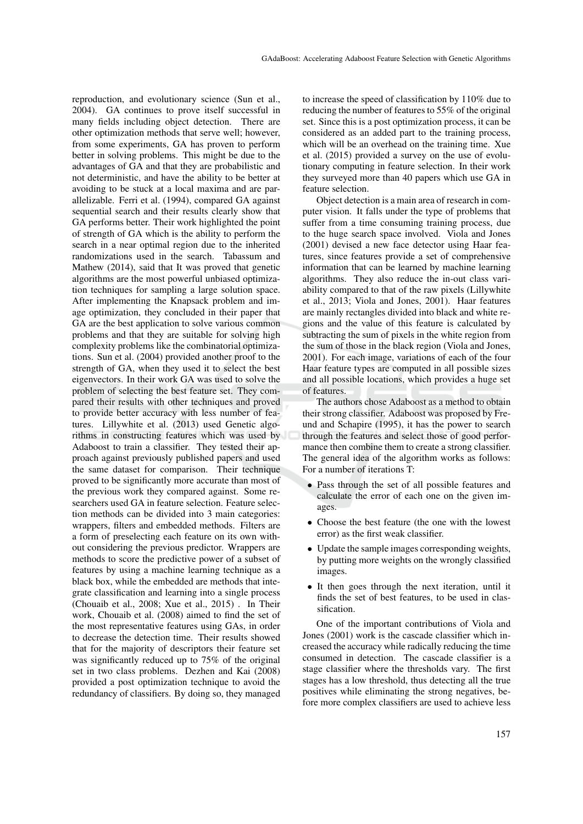reproduction, and evolutionary science (Sun et al., 2004). GA continues to prove itself successful in many fields including object detection. There are other optimization methods that serve well; however, from some experiments, GA has proven to perform better in solving problems. This might be due to the advantages of GA and that they are probabilistic and not deterministic, and have the ability to be better at avoiding to be stuck at a local maxima and are parallelizable. Ferri et al. (1994), compared GA against sequential search and their results clearly show that GA performs better. Their work highlighted the point of strength of GA which is the ability to perform the search in a near optimal region due to the inherited randomizations used in the search. Tabassum and Mathew (2014), said that It was proved that genetic algorithms are the most powerful unbiased optimization techniques for sampling a large solution space. After implementing the Knapsack problem and image optimization, they concluded in their paper that GA are the best application to solve various common problems and that they are suitable for solving high complexity problems like the combinatorial optimizations. Sun et al. (2004) provided another proof to the strength of GA, when they used it to select the best eigenvectors. In their work GA was used to solve the problem of selecting the best feature set. They compared their results with other techniques and proved to provide better accuracy with less number of features. Lillywhite et al. (2013) used Genetic algorithms in constructing features which was used by Adaboost to train a classifier. They tested their approach against previously published papers and used the same dataset for comparison. Their technique proved to be significantly more accurate than most of the previous work they compared against. Some researchers used GA in feature selection. Feature selection methods can be divided into 3 main categories: wrappers, filters and embedded methods. Filters are a form of preselecting each feature on its own without considering the previous predictor. Wrappers are methods to score the predictive power of a subset of features by using a machine learning technique as a black box, while the embedded are methods that integrate classification and learning into a single process (Chouaib et al., 2008; Xue et al., 2015) . In Their work, Chouaib et al. (2008) aimed to find the set of the most representative features using GAs, in order to decrease the detection time. Their results showed that for the majority of descriptors their feature set was significantly reduced up to 75% of the original set in two class problems. Dezhen and Kai (2008) provided a post optimization technique to avoid the redundancy of classifiers. By doing so, they managed

to increase the speed of classification by 110% due to reducing the number of features to 55% of the original set. Since this is a post optimization process, it can be considered as an added part to the training process, which will be an overhead on the training time. Xue et al. (2015) provided a survey on the use of evolutionary computing in feature selection. In their work they surveyed more than 40 papers which use GA in feature selection.

Object detection is a main area of research in computer vision. It falls under the type of problems that suffer from a time consuming training process, due to the huge search space involved. Viola and Jones (2001) devised a new face detector using Haar features, since features provide a set of comprehensive information that can be learned by machine learning algorithms. They also reduce the in-out class variability compared to that of the raw pixels (Lillywhite et al., 2013; Viola and Jones, 2001). Haar features are mainly rectangles divided into black and white regions and the value of this feature is calculated by subtracting the sum of pixels in the white region from the sum of those in the black region (Viola and Jones, 2001). For each image, variations of each of the four Haar feature types are computed in all possible sizes and all possible locations, which provides a huge set of features.

The authors chose Adaboost as a method to obtain their strong classifier. Adaboost was proposed by Freund and Schapire (1995), it has the power to search through the features and select those of good performance then combine them to create a strong classifier. The general idea of the algorithm works as follows: For a number of iterations T:

- Pass through the set of all possible features and calculate the error of each one on the given images.
- Choose the best feature (the one with the lowest error) as the first weak classifier.
- Update the sample images corresponding weights, by putting more weights on the wrongly classified images.
- It then goes through the next iteration, until it finds the set of best features, to be used in classification.

One of the important contributions of Viola and Jones (2001) work is the cascade classifier which increased the accuracy while radically reducing the time consumed in detection. The cascade classifier is a stage classifier where the thresholds vary. The first stages has a low threshold, thus detecting all the true positives while eliminating the strong negatives, before more complex classifiers are used to achieve less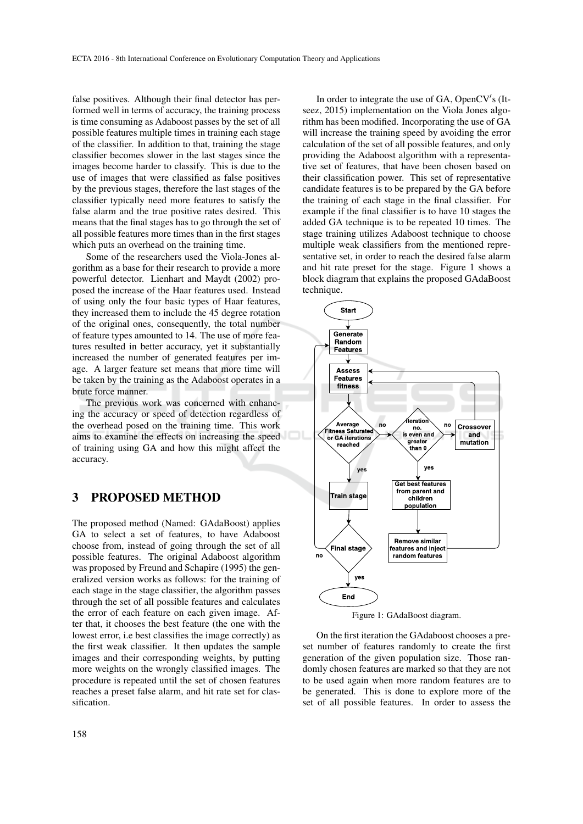false positives. Although their final detector has performed well in terms of accuracy, the training process is time consuming as Adaboost passes by the set of all possible features multiple times in training each stage of the classifier. In addition to that, training the stage classifier becomes slower in the last stages since the images become harder to classify. This is due to the use of images that were classified as false positives by the previous stages, therefore the last stages of the classifier typically need more features to satisfy the false alarm and the true positive rates desired. This means that the final stages has to go through the set of all possible features more times than in the first stages which puts an overhead on the training time.

Some of the researchers used the Viola-Jones algorithm as a base for their research to provide a more powerful detector. Lienhart and Maydt (2002) proposed the increase of the Haar features used. Instead of using only the four basic types of Haar features, they increased them to include the 45 degree rotation of the original ones, consequently, the total number of feature types amounted to 14. The use of more features resulted in better accuracy, yet it substantially increased the number of generated features per image. A larger feature set means that more time will be taken by the training as the Adaboost operates in a brute force manner.

The previous work was concerned with enhancing the accuracy or speed of detection regardless of the overhead posed on the training time. This work aims to examine the effects on increasing the speed of training using GA and how this might affect the accuracy.

# 3 PROPOSED METHOD

The proposed method (Named: GAdaBoost) applies GA to select a set of features, to have Adaboost choose from, instead of going through the set of all possible features. The original Adaboost algorithm was proposed by Freund and Schapire (1995) the generalized version works as follows: for the training of each stage in the stage classifier, the algorithm passes through the set of all possible features and calculates the error of each feature on each given image. After that, it chooses the best feature (the one with the lowest error, i.e best classifies the image correctly) as the first weak classifier. It then updates the sample images and their corresponding weights, by putting more weights on the wrongly classified images. The procedure is repeated until the set of chosen features reaches a preset false alarm, and hit rate set for classification.

In order to integrate the use of  $GA$ , OpenCV's (Itseez, 2015) implementation on the Viola Jones algorithm has been modified. Incorporating the use of GA will increase the training speed by avoiding the error calculation of the set of all possible features, and only providing the Adaboost algorithm with a representative set of features, that have been chosen based on their classification power. This set of representative candidate features is to be prepared by the GA before the training of each stage in the final classifier. For example if the final classifier is to have 10 stages the added GA technique is to be repeated 10 times. The stage training utilizes Adaboost technique to choose multiple weak classifiers from the mentioned representative set, in order to reach the desired false alarm and hit rate preset for the stage. Figure 1 shows a block diagram that explains the proposed GAdaBoost technique.



Figure 1: GAdaBoost diagram.

On the first iteration the GAdaboost chooses a preset number of features randomly to create the first generation of the given population size. Those randomly chosen features are marked so that they are not to be used again when more random features are to be generated. This is done to explore more of the set of all possible features. In order to assess the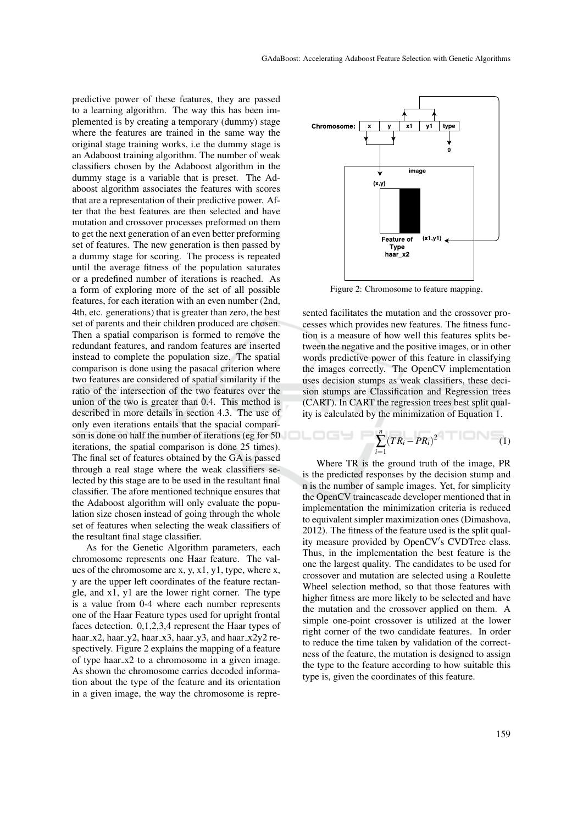predictive power of these features, they are passed to a learning algorithm. The way this has been implemented is by creating a temporary (dummy) stage where the features are trained in the same way the original stage training works, i.e the dummy stage is an Adaboost training algorithm. The number of weak classifiers chosen by the Adaboost algorithm in the dummy stage is a variable that is preset. The Adaboost algorithm associates the features with scores that are a representation of their predictive power. After that the best features are then selected and have mutation and crossover processes preformed on them to get the next generation of an even better preforming set of features. The new generation is then passed by a dummy stage for scoring. The process is repeated until the average fitness of the population saturates or a predefined number of iterations is reached. As a form of exploring more of the set of all possible features, for each iteration with an even number (2nd, 4th, etc. generations) that is greater than zero, the best set of parents and their children produced are chosen. Then a spatial comparison is formed to remove the redundant features, and random features are inserted instead to complete the population size. The spatial comparison is done using the pasacal criterion where two features are considered of spatial similarity if the ratio of the intersection of the two features over the union of the two is greater than 0.4. This method is described in more details in section 4.3. The use of only even iterations entails that the spacial comparison is done on half the number of iterations (eg for 50 iterations, the spatial comparison is done 25 times). The final set of features obtained by the GA is passed through a real stage where the weak classifiers selected by this stage are to be used in the resultant final classifier. The afore mentioned technique ensures that the Adaboost algorithm will only evaluate the population size chosen instead of going through the whole set of features when selecting the weak classifiers of the resultant final stage classifier.

As for the Genetic Algorithm parameters, each chromosome represents one Haar feature. The values of the chromosome are x, y, x1, y1, type, where x, y are the upper left coordinates of the feature rectangle, and x1, y1 are the lower right corner. The type is a value from 0-4 where each number represents one of the Haar Feature types used for upright frontal faces detection. 0,1,2,3,4 represent the Haar types of haar\_x2, haar\_y2, haar\_x3, haar\_y3, and haar\_x2y2 respectively. Figure 2 explains the mapping of a feature of type haar x2 to a chromosome in a given image. As shown the chromosome carries decoded information about the type of the feature and its orientation in a given image, the way the chromosome is repre-



Figure 2: Chromosome to feature mapping.

sented facilitates the mutation and the crossover processes which provides new features. The fitness function is a measure of how well this features splits between the negative and the positive images, or in other words predictive power of this feature in classifying the images correctly. The OpenCV implementation uses decision stumps as weak classifiers, these decision stumps are Classification and Regression trees (CART). In CART the regression trees best split quality is calculated by the minimization of Equation 1.

$$
\sum_{i=1}^n (TR_i - PR_i)^2 \qquad \qquad (1)
$$

Where TR is the ground truth of the image, PR is the predicted responses by the decision stump and n is the number of sample images. Yet, for simplicity the OpenCV traincascade developer mentioned that in implementation the minimization criteria is reduced to equivalent simpler maximization ones (Dimashova, 2012). The fitness of the feature used is the split quality measure provided by OpenCV's CVDTree class. Thus, in the implementation the best feature is the one the largest quality. The candidates to be used for crossover and mutation are selected using a Roulette Wheel selection method, so that those features with higher fitness are more likely to be selected and have the mutation and the crossover applied on them. A simple one-point crossover is utilized at the lower right corner of the two candidate features. In order to reduce the time taken by validation of the correctness of the feature, the mutation is designed to assign the type to the feature according to how suitable this type is, given the coordinates of this feature.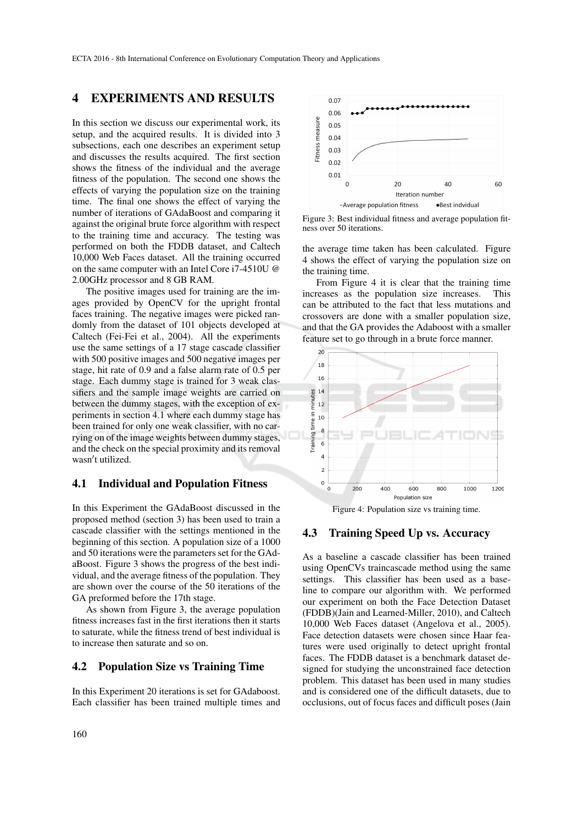#### 4 EXPERIMENTS AND RESULTS

In this section we discuss our experimental work, its setup, and the acquired results. It is divided into 3 subsections, each one describes an experiment setup and discusses the results acquired. The first section shows the fitness of the individual and the average fitness of the population. The second one shows the effects of varying the population size on the training time. The final one shows the effect of varying the number of iterations of GAdaBoost and comparing it against the original brute force algorithm with respect to the training time and accuracy. The testing was performed on both the FDDB dataset, and Caltech 10,000 Web Faces dataset. All the training occurred on the same computer with an Intel Core i7-4510U @ 2.00GHz processor and 8 GB RAM.

The positive images used for training are the images provided by OpenCV for the upright frontal faces training. The negative images were picked randomly from the dataset of 101 objects developed at Caltech (Fei-Fei et al., 2004). All the experiments use the same settings of a 17 stage cascade classifier with 500 positive images and 500 negative images per stage, hit rate of 0.9 and a false alarm rate of 0.5 per stage. Each dummy stage is trained for 3 weak classifiers and the sample image weights are carried on between the dummy stages, with the exception of experiments in section 4.1 where each dummy stage has been trained for only one weak classifier, with no carrying on of the image weights between dummy stages, and the check on the special proximity and its removal wasn't utilized.

#### 4.1 Individual and Population Fitness

In this Experiment the GAdaBoost discussed in the proposed method (section 3) has been used to train a cascade classifier with the settings mentioned in the beginning of this section. A population size of a 1000 and 50 iterations were the parameters set for the GAdaBoost. Figure 3 shows the progress of the best individual, and the average fitness of the population. They are shown over the course of the 50 iterations of the GA preformed before the 17th stage.

As shown from Figure 3, the average population fitness increases fast in the first iterations then it starts to saturate, while the fitness trend of best individual is to increase then saturate and so on.

#### 4.2 Population Size vs Training Time

In this Experiment 20 iterations is set for GAdaboost. Each classifier has been trained multiple times and



Figure 3: Best individual fitness and average population fitness over 50 iterations.

the average time taken has been calculated. Figure 4 shows the effect of varying the population size on the training time.

From Figure 4 it is clear that the training time increases as the population size increases. This can be attributed to the fact that less mutations and crossovers are done with a smaller population size, and that the GA provides the Adaboost with a smaller feature set to go through in a brute force manner.



Figure 4: Population size vs training time.

#### 4.3 Training Speed Up vs. Accuracy

As a baseline a cascade classifier has been trained using OpenCVs traincascade method using the same settings. This classifier has been used as a baseline to compare our algorithm with. We performed our experiment on both the Face Detection Dataset (FDDB)(Jain and Learned-Miller, 2010), and Caltech 10,000 Web Faces dataset (Angelova et al., 2005). Face detection datasets were chosen since Haar features were used originally to detect upright frontal faces. The FDDB dataset is a benchmark dataset designed for studying the unconstrained face detection problem. This dataset has been used in many studies and is considered one of the difficult datasets, due to occlusions, out of focus faces and difficult poses (Jain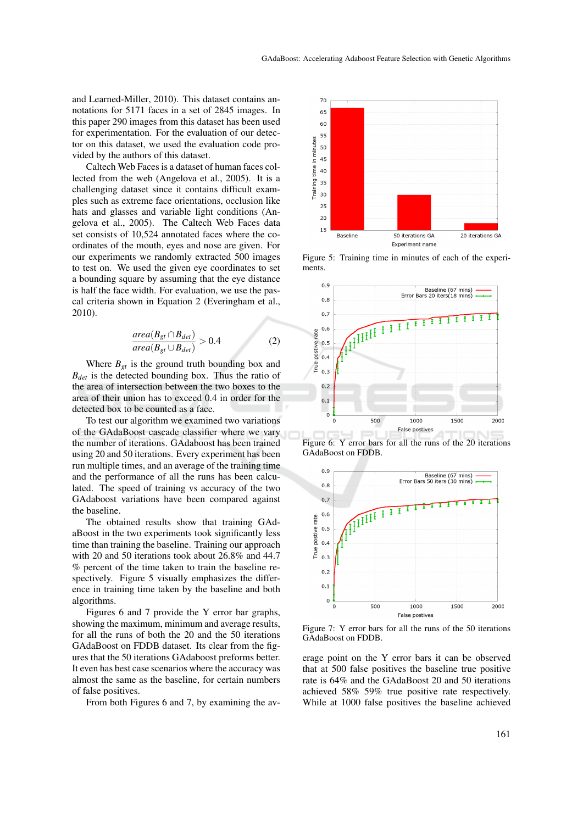and Learned-Miller, 2010). This dataset contains annotations for 5171 faces in a set of 2845 images. In this paper 290 images from this dataset has been used for experimentation. For the evaluation of our detector on this dataset, we used the evaluation code provided by the authors of this dataset.

Caltech Web Faces is a dataset of human faces collected from the web (Angelova et al., 2005). It is a challenging dataset since it contains difficult examples such as extreme face orientations, occlusion like hats and glasses and variable light conditions (Angelova et al., 2005). The Caltech Web Faces data set consists of 10,524 annotated faces where the coordinates of the mouth, eyes and nose are given. For our experiments we randomly extracted 500 images to test on. We used the given eye coordinates to set a bounding square by assuming that the eye distance is half the face width. For evaluation, we use the pascal criteria shown in Equation 2 (Everingham et al., 2010).

$$
\frac{area(B_{gt} \cap B_{det})}{area(B_{gt} \cup B_{det})} > 0.4
$$
 (2)

Where  $B_{gt}$  is the ground truth bounding box and *Bdet* is the detected bounding box. Thus the ratio of the area of intersection between the two boxes to the area of their union has to exceed 0.4 in order for the detected box to be counted as a face.

To test our algorithm we examined two variations of the GAdaBoost cascade classifier where we vary the number of iterations. GAdaboost has been trained using 20 and 50 iterations. Every experiment has been run multiple times, and an average of the training time and the performance of all the runs has been calculated. The speed of training vs accuracy of the two GAdaboost variations have been compared against the baseline.

The obtained results show that training GAdaBoost in the two experiments took significantly less time than training the baseline. Training our approach with 20 and 50 iterations took about 26.8% and 44.7 % percent of the time taken to train the baseline respectively. Figure 5 visually emphasizes the difference in training time taken by the baseline and both algorithms.

Figures 6 and 7 provide the Y error bar graphs, showing the maximum, minimum and average results, for all the runs of both the 20 and the 50 iterations GAdaBoost on FDDB dataset. Its clear from the figures that the 50 iterations GAdaboost preforms better. It even has best case scenarios where the accuracy was almost the same as the baseline, for certain numbers of false positives.

From both Figures 6 and 7, by examining the av-



Figure 5: Training time in minutes of each of the experiments.



Figure 6: Y error bars for all the runs of the 20 iterations GAdaBoost on FDDB.



Figure 7: Y error bars for all the runs of the 50 iterations GAdaBoost on FDDB.

erage point on the Y error bars it can be observed that at 500 false positives the baseline true positive rate is 64% and the GAdaBoost 20 and 50 iterations achieved 58% 59% true positive rate respectively. While at 1000 false positives the baseline achieved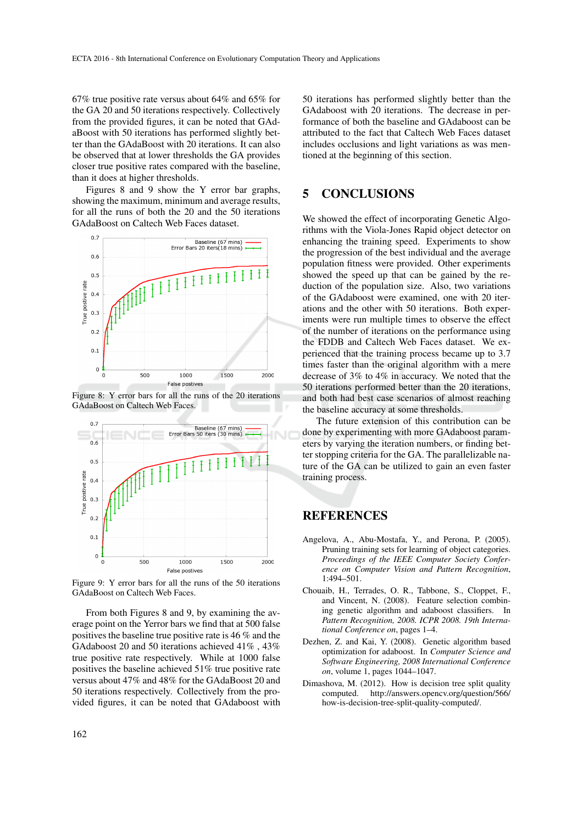67% true positive rate versus about 64% and 65% for the GA 20 and 50 iterations respectively. Collectively from the provided figures, it can be noted that GAdaBoost with 50 iterations has performed slightly better than the GAdaBoost with 20 iterations. It can also be observed that at lower thresholds the GA provides closer true positive rates compared with the baseline, than it does at higher thresholds.

Figures 8 and 9 show the Y error bar graphs, showing the maximum, minimum and average results, for all the runs of both the 20 and the 50 iterations GAdaBoost on Caltech Web Faces dataset.



Figure 8: Y error bars for all the runs of the 20 iterations GAdaBoost on Caltech Web Faces.



Figure 9: Y error bars for all the runs of the 50 iterations GAdaBoost on Caltech Web Faces.

From both Figures 8 and 9, by examining the average point on the Yerror bars we find that at 500 false positives the baseline true positive rate is 46 % and the GAdaboost 20 and 50 iterations achieved 41% , 43% true positive rate respectively. While at 1000 false positives the baseline achieved 51% true positive rate versus about 47% and 48% for the GAdaBoost 20 and 50 iterations respectively. Collectively from the provided figures, it can be noted that GAdaboost with

50 iterations has performed slightly better than the GAdaboost with 20 iterations. The decrease in performance of both the baseline and GAdaboost can be attributed to the fact that Caltech Web Faces dataset includes occlusions and light variations as was mentioned at the beginning of this section.

## 5 CONCLUSIONS

We showed the effect of incorporating Genetic Algorithms with the Viola-Jones Rapid object detector on enhancing the training speed. Experiments to show the progression of the best individual and the average population fitness were provided. Other experiments showed the speed up that can be gained by the reduction of the population size. Also, two variations of the GAdaboost were examined, one with 20 iterations and the other with 50 iterations. Both experiments were run multiple times to observe the effect of the number of iterations on the performance using the FDDB and Caltech Web Faces dataset. We experienced that the training process became up to 3.7 times faster than the original algorithm with a mere decrease of 3% to 4% in accuracy. We noted that the 50 iterations performed better than the 20 iterations, and both had best case scenarios of almost reaching the baseline accuracy at some thresholds.

The future extension of this contribution can be done by experimenting with more GAdaboost parameters by varying the iteration numbers, or finding better stopping criteria for the GA. The parallelizable nature of the GA can be utilized to gain an even faster training process.

# **REFERENCES**

- Angelova, A., Abu-Mostafa, Y., and Perona, P. (2005). Pruning training sets for learning of object categories. *Proceedings of the IEEE Computer Society Conference on Computer Vision and Pattern Recognition*, 1:494–501.
- Chouaib, H., Terrades, O. R., Tabbone, S., Cloppet, F., and Vincent, N. (2008). Feature selection combining genetic algorithm and adaboost classifiers. In *Pattern Recognition, 2008. ICPR 2008. 19th International Conference on*, pages 1–4.
- Dezhen, Z. and Kai, Y. (2008). Genetic algorithm based optimization for adaboost. In *Computer Science and Software Engineering, 2008 International Conference on*, volume 1, pages 1044–1047.
- Dimashova, M. (2012). How is decision tree split quality computed. http://answers.opencv.org/question/566/ how-is-decision-tree-split-quality-computed/.